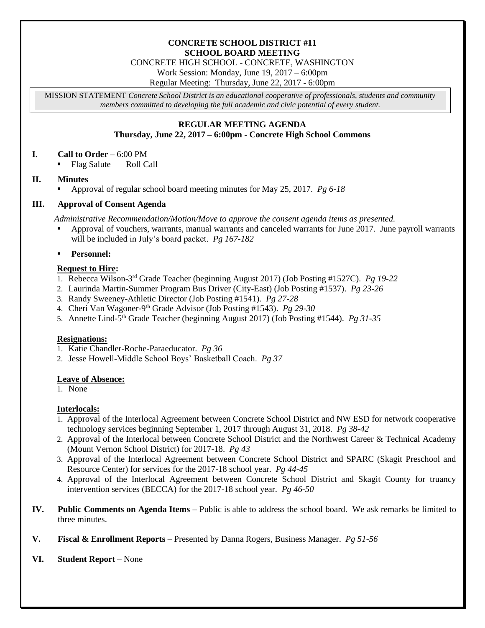#### **CONCRETE SCHOOL DISTRICT #11 SCHOOL BOARD MEETING**

CONCRETE HIGH SCHOOL - CONCRETE, WASHINGTON

Work Session: Monday, June 19, 2017 – 6:00pm

Regular Meeting: Thursday, June 22, 2017 - 6:00pm

MISSION STATEMENT *Concrete School District is an educational cooperative of professionals, students and community members committed to developing the full academic and civic potential of every student.*

# **REGULAR MEETING AGENDA Thursday, June 22, 2017 – 6:00pm - Concrete High School Commons**

# **I. Call to Order** – 6:00 PM

Flag Salute Roll Call

# **II. Minutes**

Approval of regular school board meeting minutes for May 25, 2017. *Pg 6-18*

# **III. Approval of Consent Agenda**

*Administrative Recommendation/Motion/Move to approve the consent agenda items as presented.*

 Approval of vouchers, warrants, manual warrants and canceled warrants for June 2017. June payroll warrants will be included in July's board packet. *Pg 167-182*

**Personnel:**

# **Request to Hire:**

- 1. Rebecca Wilson-3 rd Grade Teacher (beginning August 2017) (Job Posting #1527C). *Pg 19-22*
- 2. Laurinda Martin-Summer Program Bus Driver (City-East) (Job Posting #1537). *Pg 23-26*
- 3. Randy Sweeney-Athletic Director (Job Posting #1541). *Pg 27-28*
- 4. Cheri Van Wagoner-9 th Grade Advisor (Job Posting #1543). *Pg 29-30*
- 5. Annette Lind-5 th Grade Teacher (beginning August 2017) (Job Posting #1544). *Pg 31-35*

# **Resignations:**

- 1. Katie Chandler-Roche-Paraeducator. *Pg 36*
- 2. Jesse Howell-Middle School Boys' Basketball Coach. *Pg 37*

# **Leave of Absence:**

1. None

# **Interlocals:**

- 1. Approval of the Interlocal Agreement between Concrete School District and NW ESD for network cooperative technology services beginning September 1, 2017 through August 31, 2018. *Pg 38-42*
- 2. Approval of the Interlocal between Concrete School District and the Northwest Career & Technical Academy (Mount Vernon School District) for 2017-18. *Pg 43*
- 3. Approval of the Interlocal Agreement between Concrete School District and SPARC (Skagit Preschool and Resource Center) for services for the 2017-18 school year. *Pg 44-45*
- 4. Approval of the Interlocal Agreement between Concrete School District and Skagit County for truancy intervention services (BECCA) for the 2017-18 school year. *Pg 46-50*
- **IV. Public Comments on Agenda Items** Public is able to address the school board. We ask remarks be limited to three minutes.
- **V. Fiscal & Enrollment Reports –** Presented by Danna Rogers, Business Manager. *Pg 51-56*

# **VI. Student Report** – None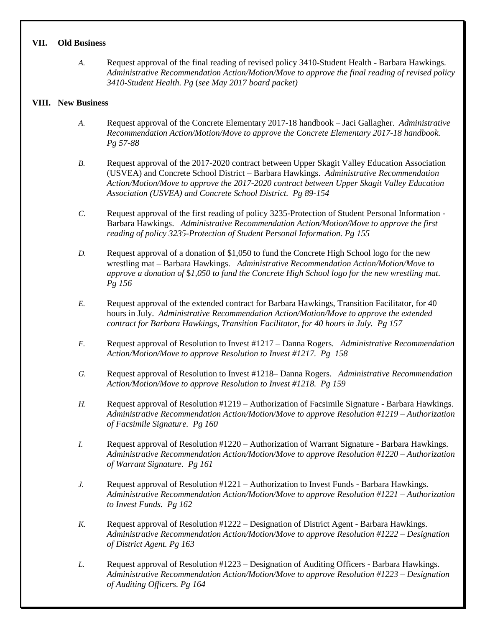#### **VII. Old Business**

*A.* Request approval of the final reading of revised policy 3410-Student Health - Barbara Hawkings. *Administrative Recommendation Action/Motion/Move to approve the final reading of revised policy 3410-Student Health. Pg* (*see May 2017 board packet)*

#### **VIII. New Business**

- *A.* Request approval of the Concrete Elementary 2017-18 handbook Jaci Gallagher. *Administrative Recommendation Action/Motion/Move to approve the Concrete Elementary 2017-18 handbook. Pg 57-88*
- *B.* Request approval of the 2017-2020 contract between Upper Skagit Valley Education Association (USVEA) and Concrete School District – Barbara Hawkings. *Administrative Recommendation Action/Motion/Move to approve the 2017-2020 contract between Upper Skagit Valley Education Association (USVEA) and Concrete School District. Pg 89-154*
- *C.* Request approval of the first reading of policy 3235-Protection of Student Personal Information Barbara Hawkings. *Administrative Recommendation Action/Motion/Move to approve the first reading of policy 3235-Protection of Student Personal Information. Pg 155*
- *D.* Request approval of a donation of \$1,050 to fund the Concrete High School logo for the new wrestling mat – Barbara Hawkings. *Administrative Recommendation Action/Motion/Move to approve a donation of* \$*1,050 to fund the Concrete High School logo for the new wrestling mat. Pg 156*
- *E.* Request approval of the extended contract for Barbara Hawkings, Transition Facilitator, for 40 hours in July. *Administrative Recommendation Action/Motion/Move to approve the extended contract for Barbara Hawkings, Transition Facilitator, for 40 hours in July. Pg 157*
- *F.* Request approval of Resolution to Invest #1217 Danna Rogers. *Administrative Recommendation Action/Motion/Move to approve Resolution to Invest #1217. Pg 158*
- *G.* Request approval of Resolution to Invest #1218– Danna Rogers. *Administrative Recommendation Action/Motion/Move to approve Resolution to Invest #1218. Pg 159*
- *H.* Request approval of Resolution #1219 Authorization of Facsimile Signature Barbara Hawkings. *Administrative Recommendation Action/Motion/Move to approve Resolution #1219 – Authorization of Facsimile Signature. Pg 160*
- *I.* Request approval of Resolution #1220 Authorization of Warrant Signature Barbara Hawkings. *Administrative Recommendation Action/Motion/Move to approve Resolution #1220 – Authorization of Warrant Signature. Pg 161*
- *J.* Request approval of Resolution #1221 Authorization to Invest Funds Barbara Hawkings. *Administrative Recommendation Action/Motion/Move to approve Resolution #1221 – Authorization to Invest Funds. Pg 162*
- *K.* Request approval of Resolution #1222 Designation of District Agent Barbara Hawkings. *Administrative Recommendation Action/Motion/Move to approve Resolution #1222 – Designation of District Agent. Pg 163*
- *L.* Request approval of Resolution #1223 Designation of Auditing Officers Barbara Hawkings. *Administrative Recommendation Action/Motion/Move to approve Resolution #1223 – Designation of Auditing Officers. Pg 164*